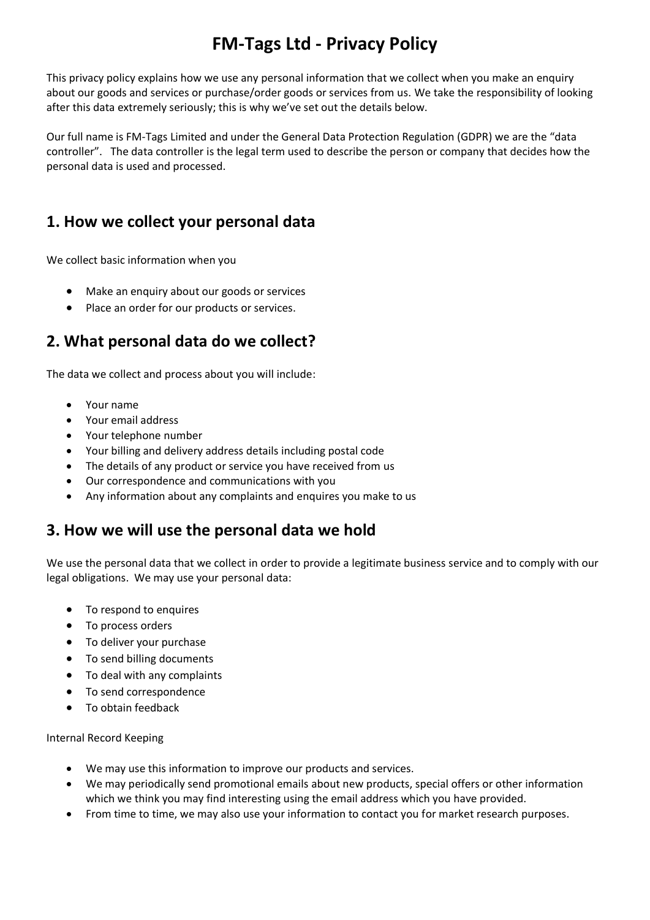# **FM-Tags Ltd - Privacy Policy**

This privacy policy explains how we use any personal information that we collect when you make an enquiry about our goods and services or purchase/order goods or services from us. We take the responsibility of looking after this data extremely seriously; this is why we've set out the details below.

Our full name is FM-Tags Limited and under the General Data Protection Regulation (GDPR) we are the "data controller". The data controller is the legal term used to describe the person or company that decides how the personal data is used and processed.

# **1. How we collect your personal data**

We collect basic information when you

- Make an enquiry about our goods or services
- Place an order for our products or services.

# **2. What personal data do we collect?**

The data we collect and process about you will include:

- Your name
- Your email address
- Your telephone number
- Your billing and delivery address details including postal code
- The details of any product or service you have received from us
- Our correspondence and communications with you
- Any information about any complaints and enquires you make to us

#### **3. How we will use the personal data we hold**

We use the personal data that we collect in order to provide a legitimate business service and to comply with our legal obligations. We may use your personal data:

- To respond to enquires
- To process orders
- To deliver your purchase
- To send billing documents
- To deal with any complaints
- To send correspondence
- To obtain feedback

Internal Record Keeping

- We may use this information to improve our products and services.
- We may periodically send promotional emails about new products, special offers or other information which we think you may find interesting using the email address which you have provided.
- From time to time, we may also use your information to contact you for market research purposes.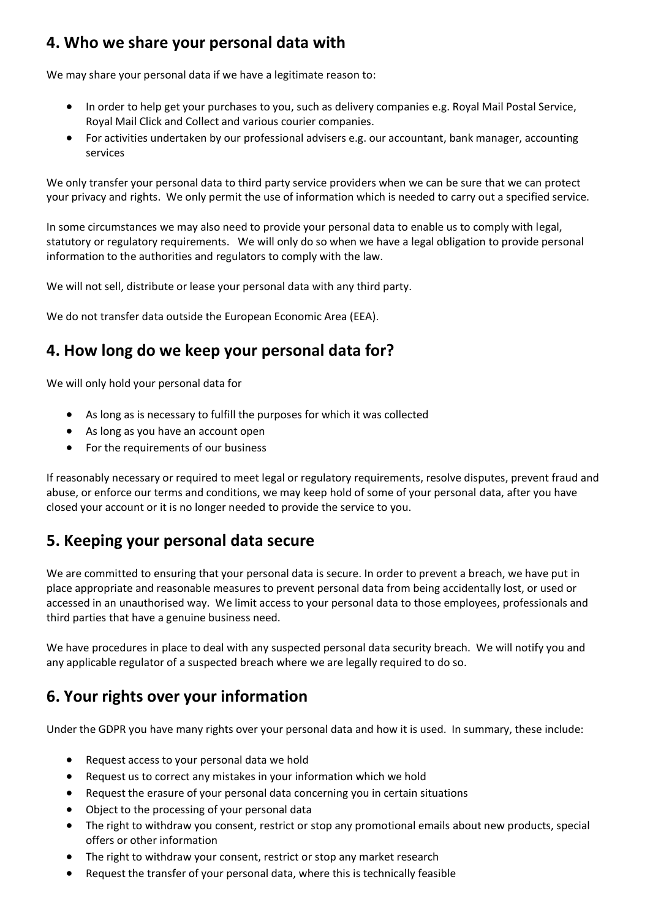# **4. Who we share your personal data with**

We may share your personal data if we have a legitimate reason to:

- In order to help get your purchases to you, such as delivery companies e.g. Royal Mail Postal Service, Royal Mail Click and Collect and various courier companies.
- For activities undertaken by our professional advisers e.g. our accountant, bank manager, accounting services

We only transfer your personal data to third party service providers when we can be sure that we can protect your privacy and rights. We only permit the use of information which is needed to carry out a specified service.

In some circumstances we may also need to provide your personal data to enable us to comply with legal, statutory or regulatory requirements. We will only do so when we have a legal obligation to provide personal information to the authorities and regulators to comply with the law.

We will not sell, distribute or lease your personal data with any third party.

We do not transfer data outside the European Economic Area (EEA).

### **4. How long do we keep your personal data for?**

We will only hold your personal data for

- As long as is necessary to fulfill the purposes for which it was collected
- As long as you have an account open
- For the requirements of our business

If reasonably necessary or required to meet legal or regulatory requirements, resolve disputes, prevent fraud and abuse, or enforce our terms and conditions, we may keep hold of some of your personal data, after you have closed your account or it is no longer needed to provide the service to you.

#### **5. Keeping your personal data secure**

We are committed to ensuring that your personal data is secure. In order to prevent a breach, we have put in place appropriate and reasonable measures to prevent personal data from being accidentally lost, or used or accessed in an unauthorised way. We limit access to your personal data to those employees, professionals and third parties that have a genuine business need.

We have procedures in place to deal with any suspected personal data security breach. We will notify you and any applicable regulator of a suspected breach where we are legally required to do so.

## **6. Your rights over your information**

Under the GDPR you have many rights over your personal data and how it is used. In summary, these include:

- Request access to your personal data we hold
- Request us to correct any mistakes in your information which we hold
- Request the erasure of your personal data concerning you in certain situations
- Object to the processing of your personal data
- The right to withdraw you consent, restrict or stop any promotional emails about new products, special offers or other information
- The right to withdraw your consent, restrict or stop any market research
- Request the transfer of your personal data, where this is technically feasible